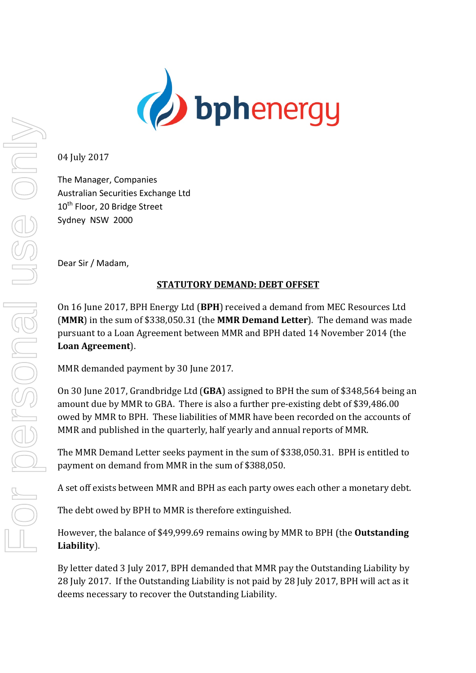

04 July 2017

The Manager, Companies Australian Securities Exchange Ltd 10<sup>th</sup> Floor, 20 Bridge Street Sydney NSW 2000

Dear Sir / Madam,

## **STATUTORY DEMAND: DEBT OFFSET**

On 16 June 2017, BPH Energy Ltd (BPH) received a demand from MEC Resources Ltd **(MMR)** in the sum of \$338,050.31 (the **MMR Demand Letter**). The demand was made pursuant to a Loan Agreement between MMR and BPH dated 14 November 2014 (the **Loan Agreement**). 

MMR demanded payment by 30 June 2017.

On 30 June 2017, Grandbridge Ltd (GBA) assigned to BPH the sum of \$348,564 being an amount due by MMR to GBA. There is also a further pre-existing debt of \$39,486.00 owed by MMR to BPH. These liabilities of MMR have been recorded on the accounts of MMR and published in the quarterly, half yearly and annual reports of MMR.

The MMR Demand Letter seeks payment in the sum of \$338,050.31. BPH is entitled to payment on demand from MMR in the sum of \$388,050.

A set off exists between MMR and BPH as each party owes each other a monetary debt.

The debt owed by BPH to MMR is therefore extinguished.

However, the balance of \$49,999.69 remains owing by MMR to BPH (the **Outstanding Liability**). 

By letter dated 3 July 2017, BPH demanded that MMR pay the Outstanding Liability by 28 July 2017. If the Outstanding Liability is not paid by 28 July 2017, BPH will act as it deems necessary to recover the Outstanding Liability.